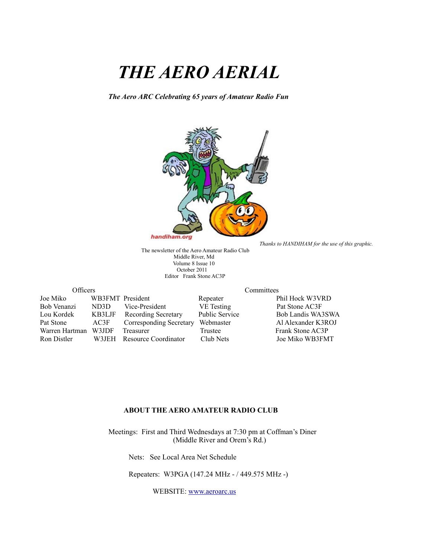# *THE AERO AERIAL*

*The Aero ARC Celebrating 65 years of Amateur Radio Fun*



*Thanks to HANDIHAM for the use of this graphic.*

The newsletter of the Aero Amateur Radio Club Middle River, Md Volume 8 Issue 10 October 2011 Editor Frank Stone AC3P

| Officers       |                  |                            | Committees            |                    |  |
|----------------|------------------|----------------------------|-----------------------|--------------------|--|
| Joe Miko       | WB3FMT President |                            | Repeater              | Phil Hock W3VRD    |  |
| Bob Venanzi    | ND3D             | Vice-President             | VE Testing            | Pat Stone AC3F     |  |
| Lou Kordek     | KB3LJF           | <b>Recording Secretary</b> | <b>Public Service</b> | Bob Landis WA3SWA  |  |
| Pat Stone      | AC3F             | Corresponding Secretary    | Webmaster             | Al Alexander K3ROJ |  |
| Warren Hartman | W3JDF            | Treasurer                  | Trustee               | Frank Stone AC3P   |  |
| Ron Distler    | W3JEH            | Resource Coordinator       | Club Nets             | Joe Miko WB3FMT    |  |

#### **ABOUT THE AERO AMATEUR RADIO CLUB**

 Meetings: First and Third Wednesdays at 7:30 pm at Coffman's Diner (Middle River and Orem's Rd.)

Nets: See Local Area Net Schedule

Repeaters: W3PGA (147.24 MHz - / 449.575 MHz -)

WEBSITE: [www.aeroarc.us](http://www.aeroarc.us/)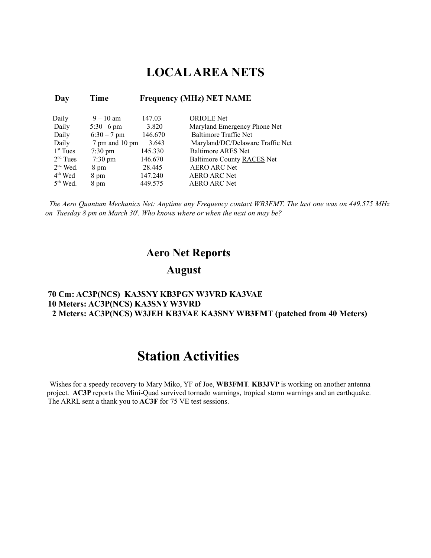#### **LOCAL AREA NETS**

| Day        | Time              |         | <b>Frequency (MHz) NET NAME</b>  |
|------------|-------------------|---------|----------------------------------|
| Daily      | $9 - 10$ am       | 147.03  | <b>ORIOLE</b> Net                |
| Daily      | $5:30 - 6$ pm     | 3.820   | Maryland Emergency Phone Net     |
| Daily      | $6:30 - 7$ pm     | 146.670 | Baltimore Traffic Net            |
| Daily      | 7 pm and 10 pm    | 3.643   | Maryland/DC/Delaware Traffic Net |
| $1st$ Tues | $7:30 \text{ pm}$ | 145.330 | <b>Baltimore ARES Net</b>        |
| $2nd$ Tues | $7:30 \text{ pm}$ | 146.670 | Baltimore County RACES Net       |
| $2nd$ Wed. | 8 pm              | 28.445  | <b>AERO ARC Net</b>              |
| $4th$ Wed  | 8 pm              | 147.240 | <b>AERO ARC Net</b>              |
| $5th$ Wed. | 8 pm              | 449.575 | <b>AERO ARC Net</b>              |

*The Aero Quantum Mechanics Net: Anytime any Frequency contact WB3FMT. The last one was on 449.575 MHz on Tuesday 8 pm on March 30<sup>t</sup> . Who knows where or when the next on may be?*

#### **Aero Net Reports**

#### **August**

#### **70 Cm: AC3P(NCS) KA3SNY KB3PGN W3VRD KA3VAE 10 Meters: AC3P(NCS) KA3SNY W3VRD 2 Meters: AC3P(NCS) W3JEH KB3VAE KA3SNY WB3FMT (patched from 40 Meters)**

#### **Station Activities**

 Wishes for a speedy recovery to Mary Miko, YF of Joe, **WB3FMT**. **KB3JVP** is working on another antenna project. **AC3P** reports the Mini-Quad survived tornado warnings, tropical storm warnings and an earthquake. The ARRL sent a thank you to **AC3F** for 75 VE test sessions.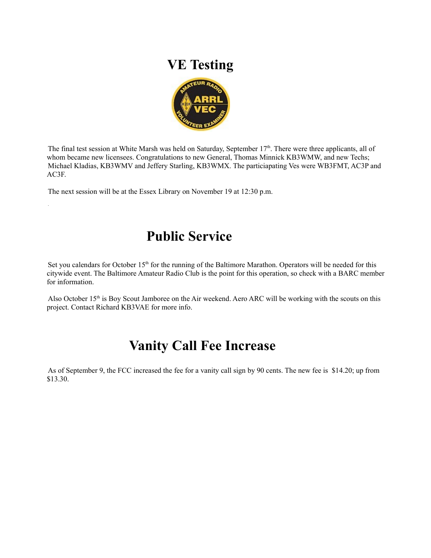#### **VE Testing**



The final test session at White Marsh was held on Saturday, September 17<sup>th</sup>. There were three applicants, all of whom became new licensees. Congratulations to new General, Thomas Minnick KB3WMW, and new Techs; Michael Kladias, KB3WMV and Jeffery Starling, KB3WMX. The particiapating Ves were WB3FMT, AC3P and AC3F.

The next session will be at the Essex Library on November 19 at 12:30 p.m.

.

### **Public Service**

Set you calendars for October 15<sup>th</sup> for the running of the Baltimore Marathon. Operators will be needed for this citywide event. The Baltimore Amateur Radio Club is the point for this operation, so check with a BARC member for information.

Also October 15<sup>th</sup> is Boy Scout Jamboree on the Air weekend. Aero ARC will be working with the scouts on this project. Contact Richard KB3VAE for more info.

### **Vanity Call Fee Increase**

As of September 9, the FCC increased the fee for a vanity call sign by 90 cents. The new fee is \$14.20; up from \$13.30.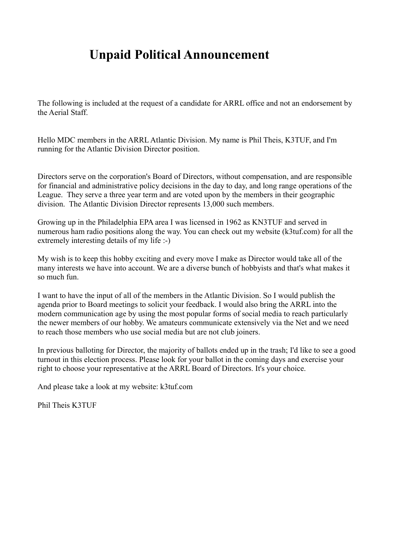### **Unpaid Political Announcement**

The following is included at the request of a candidate for ARRL office and not an endorsement by the Aerial Staff.

Hello MDC members in the ARRL Atlantic Division. My name is Phil Theis, K3TUF, and I'm running for the Atlantic Division Director position.

Directors serve on the corporation's Board of Directors, without compensation, and are responsible for financial and administrative policy decisions in the day to day, and long range operations of the League. They serve a three year term and are voted upon by the members in their geographic division. The Atlantic Division Director represents 13,000 such members.

Growing up in the Philadelphia EPA area I was licensed in 1962 as KN3TUF and served in numerous ham radio positions along the way. You can check out my website (k3tuf.com) for all the extremely interesting details of my life :-)

My wish is to keep this hobby exciting and every move I make as Director would take all of the many interests we have into account. We are a diverse bunch of hobbyists and that's what makes it so much fun.

I want to have the input of all of the members in the Atlantic Division. So I would publish the agenda prior to Board meetings to solicit your feedback. I would also bring the ARRL into the modern communication age by using the most popular forms of social media to reach particularly the newer members of our hobby. We amateurs communicate extensively via the Net and we need to reach those members who use social media but are not club joiners.

In previous balloting for Director, the majority of ballots ended up in the trash; I'd like to see a good turnout in this election process. Please look for your ballot in the coming days and exercise your right to choose your representative at the ARRL Board of Directors. It's your choice.

And please take a look at my website: k3tuf.com

Phil Theis K3TUF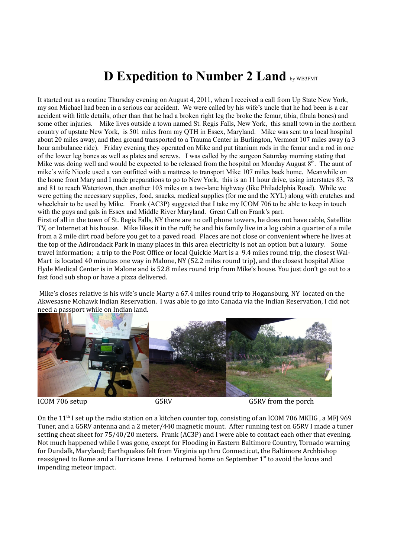### **D Expedition to Number 2 Land by WB3FMT**

It started out as a routine Thursday evening on August 4, 2011, when I received a call from Up State New York, my son Michael had been in a serious car accident. We were called by his wife's uncle that he had been is a car accident with little details, other than that he had a broken right leg (he broke the femur, tibia, fibula bones) and some other injuries. Mike lives outside a town named St. Regis Falls, New York, this small town in the northern country of upstate New York, is 501 miles from my QTH in Essex, Maryland. Mike was sent to a local hospital about 20 miles away, and then ground transported to a Trauma Center in Burlington, Vermont 107 miles away (a 3 hour ambulance ride). Friday evening they operated on Mike and put titanium rods in the femur and a rod in one of the lower leg bones as well as plates and screws. I was called by the surgeon Saturday morning stating that Mike was doing well and would be expected to be released from the hospital on Monday August  $8<sup>th</sup>$ . The aunt of mike's wife Nicole used a van outfitted with a mattress to transport Mike 107 miles back home. Meanwhile on the home front Mary and I made preparations to go to New York, this is an 11 hour drive, using interstates 83, 78 and 81 to reach Watertown, then another 103 miles on a two-lane highway (like Philadelphia Road). While we were getting the necessary supplies, food, snacks, medical supplies (for me and the XYL) along with crutches and wheelchair to be used by Mike. Frank (AC3P) suggested that I take my ICOM 706 to be able to keep in touch with the guys and gals in Essex and Middle River Maryland. Great Call on Frank's part. First of all in the town of St. Regis Falls, NY there are no cell phone towers, he does not have cable, Satellite TV, or Internet at his house. Mike likes it in the ruff; he and his family live in a log cabin a quarter of a mile from a 2 mile dirt road before you get to a paved road. Places are not close or convenient where he lives at the top of the Adirondack Park in many places in this area electricity is not an option but a luxury. Some

travel information; a trip to the Post Office or local Quickie Mart is a 9.4 miles round trip, the closest Wal-Mart is located 40 minutes one way in Malone, NY (52.2 miles round trip), and the closest hospital Alice Hyde Medical Center is in Malone and is 52.8 miles round trip from Mike's house. You just don't go out to a fast food sub shop or have a pizza delivered.

 Mike's closes relative is his wife's uncle Marty a 67.4 miles round trip to Hogansburg, NY located on the Akwesasne Mohawk Indian Reservation. I was able to go into Canada via the Indian Reservation, I did not need a passport while on Indian land.



ICOM 706 setup G5RV G5RV G5RV G5RV from the porch

On the 11<sup>th</sup> I set up the radio station on a kitchen counter top, consisting of an ICOM 706 MKIIG, a MFJ 969 Tuner, and a G5RV antenna and a 2 meter/440 magnetic mount. After running test on G5RV I made a tuner setting cheat sheet for 75/40/20 meters. Frank (AC3P) and I were able to contact each other that evening. Not much happened while I was gone, except for Flooding in Eastern Baltimore Country, Tornado warning for Dundalk, Maryland; Earthquakes felt from Virginia up thru Connecticut, the Baltimore Archbishop reassigned to Rome and a Hurricane Irene. I returned home on September 1<sup>st</sup> to avoid the locus and impending meteor impact.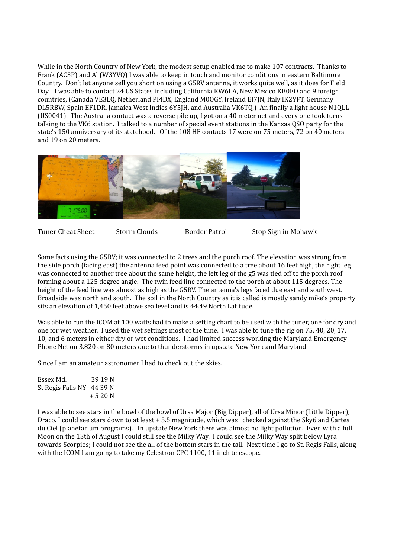While in the North Country of New York, the modest setup enabled me to make 107 contracts. Thanks to Frank (AC3P) and Al (W3YVQ) I was able to keep in touch and monitor conditions in eastern Baltimore Country. Don't let anyone sell you short on using a G5RV antenna, it works quite well, as it does for Field Day. I was able to contact 24 US States including California KW6LA, New Mexico KB0EO and 9 foreign countries, (Canada VE3LQ, Netherland PI4DX, England M0OGY, Ireland EI7JN, Italy IK2YFT, Germany DL5RBW, Spain EF1DR, Jamaica West Indies 6Y5JH, and Australia VK6TQ.) An finally a light house N1QLL (US0041). The Australia contact was a reverse pile up, I got on a 40 meter net and every one took turns talking to the VK6 station. I talked to a number of special event stations in the Kansas QSO party for the state's 150 anniversary of its statehood. Of the 108 HF contacts 17 were on 75 meters, 72 on 40 meters and 19 on 20 meters.



Tuner Cheat Sheet Storm Clouds Border Patrol Stop Sign in Mohawk

Some facts using the G5RV; it was connected to 2 trees and the porch roof. The elevation was strung from the side porch (facing east) the antenna feed point was connected to a tree about 16 feet high, the right leg was connected to another tree about the same height, the left leg of the g5 was tied off to the porch roof forming about a 125 degree angle. The twin feed line connected to the porch at about 115 degrees. The height of the feed line was almost as high as the G5RV. The antenna's legs faced due east and southwest. Broadside was north and south. The soil in the North Country as it is called is mostly sandy mike's property sits an elevation of 1,450 feet above sea level and is 44.49 North Latitude.

Was able to run the ICOM at 100 watts had to make a setting chart to be used with the tuner, one for dry and one for wet weather. I used the wet settings most of the time. I was able to tune the rig on 75, 40, 20, 17, 10, and 6 meters in either dry or wet conditions. I had limited success working the Maryland Emergency Phone Net on 3.820 on 80 meters due to thunderstorms in upstate New York and Maryland.

Since I am an amateur astronomer I had to check out the skies.

Essex Md. 39 19 N St Regis Falls NY 44 39 N + 5 20 N

I was able to see stars in the bowl of the bowl of Ursa Major (Big Dipper), all of Ursa Minor (Little Dipper), Draco. I could see stars down to at least + 5.5 magnitude, which was checked against the Sky6 and Cartes du Ciel (planetarium programs). In upstate New York there was almost no light pollution. Even with a full Moon on the 13th of August I could still see the Milky Way. I could see the Milky Way split below Lyra towards Scorpios; I could not see the all of the bottom stars in the tail. Next time I go to St. Regis Falls, along with the ICOM I am going to take my Celestron CPC 1100, 11 inch telescope.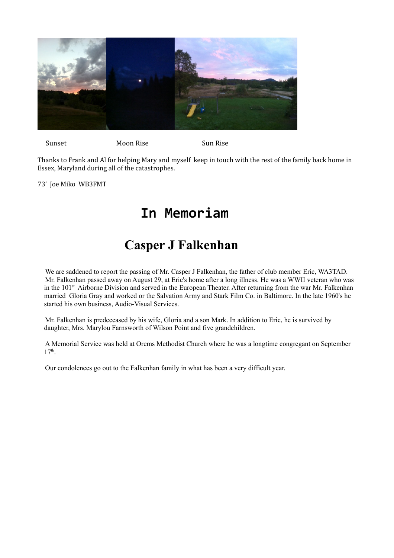

Sunset Moon Rise Moon Rise

Thanks to Frank and Al for helping Mary and myself keep in touch with the rest of the family back home in Essex, Maryland during all of the catastrophes.

73' Joe Miko WB3FMT

### **In Memoriam**

### **Casper J Falkenhan**

We are saddened to report the passing of Mr. Casper J Falkenhan, the father of club member Eric, WA3TAD. Mr. Falkenhan passed away on August 29, at Eric's home after a long illness. He was a WWII veteran who was in the 101<sup>st</sup> Airborne Division and served in the European Theater. After returning from the war Mr. Falkenhan married Gloria Gray and worked or the Salvation Army and Stark Film Co. in Baltimore. In the late 1960's he started his own business, Audio-Visual Services.

Mr. Falkenhan is predeceased by his wife, Gloria and a son Mark. In addition to Eric, he is survived by daughter, Mrs. Marylou Farnsworth of Wilson Point and five grandchildren.

A Memorial Service was held at Orems Methodist Church where he was a longtime congregant on September 17th .

Our condolences go out to the Falkenhan family in what has been a very difficult year.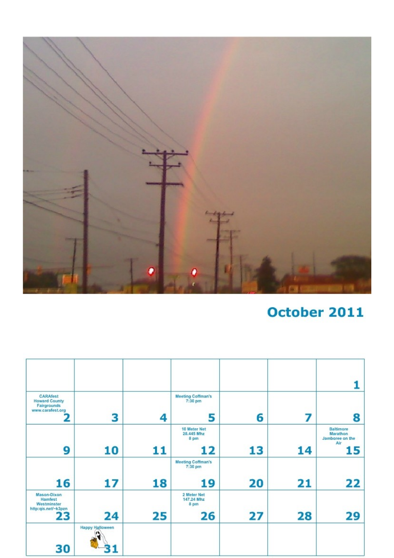

## October 2011